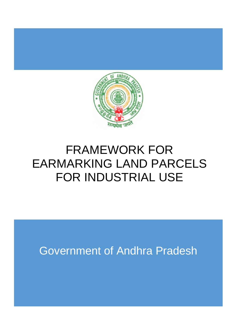

# FRAMEWORK FOR EARMARKING LAND PARCELS FOR INDUSTRIAL USE

Government of Andhra Pradesh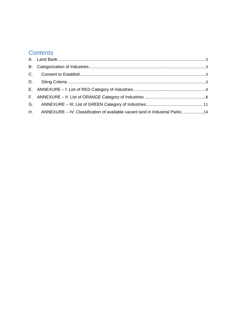## **Contents**

| H. ANNEXURE - IV: Classification of available vacant land in Industrial Parks 14 |  |
|----------------------------------------------------------------------------------|--|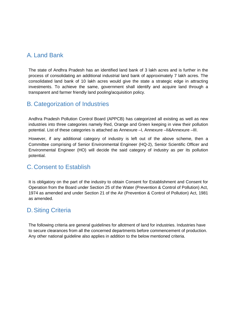#### A. Land Bank

The state of Andhra Pradesh has an identified land bank of 3 lakh acres and is further in the process of consolidating an additional industrial land bank of approximately 7 lakh acres. The consolidated land bank of 10 lakh acres would give the state a strategic edge in attracting investments. To achieve the same, government shall identify and acquire land through a transparent and farmer friendly land pooling/acquisition policy.

#### B. Categorization of Industries

Andhra Pradesh Pollution Control Board (APPCB) has categorized all existing as well as new industries into three categories namely Red, Orange and Green keeping in view their pollution potential. List of these categories is attached as Annexure –I, Annexure –II&Annexure –III.

However, if any additional category of industry is left out of the above scheme, then a Committee comprising of Senior Environmental Engineer (HQ-2), Senior Scientific Officer and Environmental Engineer (HO) will decide the said category of industry as per its pollution potential.

#### C. Consent to Establish

It is obligatory on the part of the industry to obtain Consent for Establishment and Consent for Operation from the Board under Section 25 of the Water (Prevention & Control of Pollution) Act, 1974 as amended and under Section 21 of the Air (Prevention & Control of Pollution) Act, 1981 as amended.

#### D. Siting Criteria

The following criteria are general guidelines for allotment of land for industries. Industries have to secure clearances from all the concerned departments before commencement of production. Any other national guideline also applies in addition to the below mentioned criteria.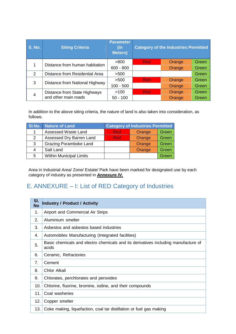| <b>S. No.</b>  | <b>Siting Criteria</b>                               | <b>Parameter</b><br>(in<br><b>Meters</b> ) |            | <b>Category of the Industries Permitted</b> |              |
|----------------|------------------------------------------------------|--------------------------------------------|------------|---------------------------------------------|--------------|
|                | Distance from human habitation                       | >800                                       | <b>Red</b> | Orange                                      | Green        |
|                |                                                      | $600 - 800$                                |            | Orange                                      | Green        |
| 2              | Distance from Residential Area                       | >500                                       |            |                                             | <b>Green</b> |
| 3              | Distance from National Highway                       | >500                                       | <b>Red</b> | Orange                                      | Green        |
|                |                                                      | $100 - 500$                                |            | <b>Orange</b>                               | <b>Green</b> |
| $\overline{4}$ | Distance from State Highways<br>and other main roads | >100                                       | <b>Red</b> | Orange                                      | <b>Green</b> |
|                |                                                      | $50 - 100$                                 |            | Orange                                      | Green        |

In addition to the above siting criteria, the nature of land is also taken into consideration, as follows.

|                | SI.No. Nature of Land          | <b>Category of Industries Permitted</b> |        |       |
|----------------|--------------------------------|-----------------------------------------|--------|-------|
|                | Assessed Waste Land            | Red                                     | Orange | Green |
| $\overline{2}$ | Assessed Dry Barren Land       | Red                                     | Orange | Green |
| 3              | <b>Grazing Poramboke Land</b>  |                                         | Orange | Green |
| 4              | Salt Land                      |                                         | Orange | Green |
| 5              | <b>Within Municipal Limits</b> |                                         |        | Green |

Area in Industrial Area/ Zone/ Estate/ Park have been marked for designated use by each category of industry as presented in *Annexure IV.*

## E. ANNEXURE – I: List of RED Category of Industries

| SI.<br><b>No</b> | <b>Industry / Product / Activity</b>                                                        |
|------------------|---------------------------------------------------------------------------------------------|
| 1.               | Airport and Commercial Air Strips                                                           |
| 2.               | Aluminium smelter                                                                           |
| 3.               | Asbestos and asbestos based industries                                                      |
| 4.               | Automobiles Manufacturing (Integrated facilities)                                           |
| 5.               | Basic chemicals and electro chemicals and its derivatives including manufacture of<br>acids |
| 6.               | Ceramic, Refractories                                                                       |
| 7.               | Cement                                                                                      |
| 8.               | Chlor Alkali                                                                                |
| 9.               | Chlorates, perchlorates and peroxides                                                       |
| 10.              | Chlorine, fluorine, bromine, iodine, and their compounds                                    |
| 11.              | Coal washeries                                                                              |
| 12.              | Copper smelter                                                                              |
| 13.              | Coke making, liquefaction, coal tar distillation or fuel gas making                         |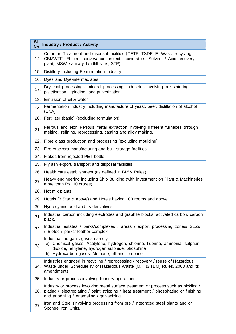| SI.<br><b>No</b> | <b>Industry / Product / Activity</b>                                                                                                                                                                                      |
|------------------|---------------------------------------------------------------------------------------------------------------------------------------------------------------------------------------------------------------------------|
| 14.              | Common Treatment and disposal facilities (CETP, TSDF, E- Waste recycling,<br>CBMWTF, Effluent conveyance project, incinerators, Solvent / Acid recovery<br>plant, MSW sanitary landfill sites, STP)                       |
| 15.              | Distillery including Fermentation industry                                                                                                                                                                                |
| 16.              | Dyes and Dye-intermediates                                                                                                                                                                                                |
| 17.              | Dry coal processing / mineral processing, industries involving ore sintering,<br>palletisation, grinding, and pulverization.                                                                                              |
| 18.              | Emulsion of oil & water                                                                                                                                                                                                   |
| 19.              | Fermentation industry including manufacture of yeast, beer, distillation of alcohol<br>(ENA)                                                                                                                              |
| 20.              | Fertilizer (basic) (excluding formulation)                                                                                                                                                                                |
| 21.              | Ferrous and Non Ferrous metal extraction involving different furnaces through<br>melting, refining, reprocessing, casting and alloy making.                                                                               |
| 22.              | Fibre glass production and processing (excluding moulding)                                                                                                                                                                |
| 23.              | Fire crackers manufacturing and bulk storage facilities                                                                                                                                                                   |
| 24.              | Flakes from rejected PET bottle                                                                                                                                                                                           |
| 25.              | Fly ash export, transport and disposal facilities.                                                                                                                                                                        |
| 26.              | Health care establishment (as defined in BMW Rules)                                                                                                                                                                       |
| 27.              | Heavy engineering including Ship Building (with investment on Plant & Machineries<br>more than Rs. 10 crores)                                                                                                             |
| 28.              | Hot mix plants                                                                                                                                                                                                            |
| 29.              | Hotels (3 Star & above) and Hotels having 100 rooms and above.                                                                                                                                                            |
| 30.              | Hydrocyanic acid and its derivatives.                                                                                                                                                                                     |
| 31.              | Industrial carbon including electrodes and graphite blocks, activated carbon, carbon<br>black.                                                                                                                            |
| 32.              | Industrial estates / parks/complexes / areas / export processing zones/ SEZs<br>/ Biotech parks/ leather complex                                                                                                          |
| 33.              | Industrial inorganic gases namely :<br>a) Chemical gases, Acetylene, hydrogen, chlorine, fluorine, ammonia, sulphur<br>dioxide, ethylene, hydrogen sulphide, phosphine<br>b) Hydrocarbon gases, Methane, ethane, propane  |
| 34.              | Industries engaged in recycling / reprocessing / recovery / reuse of Hazardous<br>Waste under Schedule IV of Hazardous Waste (M,H & TBM) Rules, 2008 and its<br>amendments.                                               |
| 35.              | Industry or process involving foundry operations.                                                                                                                                                                         |
| 36.              | Industry or process involving metal surface treatment or process such as pickling /<br>plating / electroplating / paint stripping / heat treatment / phosphating or finishing<br>and anodizing / enameling / galvanizing. |
| 37.              | Iron and Steel (involving processing from ore / integrated steel plants and or<br>Sponge Iron Units.                                                                                                                      |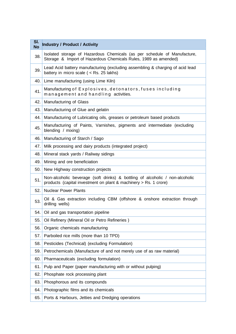| SI.<br><b>No</b> | <b>Industry / Product / Activity</b>                                                                                                             |
|------------------|--------------------------------------------------------------------------------------------------------------------------------------------------|
| 38.              | Isolated storage of Hazardous Chemicals (as per schedule of Manufacture,<br>Storage & Import of Hazardous Chemicals Rules, 1989 as amended)      |
| 39.              | Lead Acid battery manufacturing (excluding assembling & charging of acid lead<br>battery in micro scale ( $\lt$ Rs. 25 lakhs)                    |
| 40.              | Lime manufacturing (using Lime Kiln)                                                                                                             |
| 41.              | Manufacturing of Explosives, detonators, fuses including<br>management and handling activities.                                                  |
| 42.              | Manufacturing of Glass                                                                                                                           |
| 43.              | Manufacturing of Glue and gelatin                                                                                                                |
| 44.              | Manufacturing of Lubricating oils, greases or petroleum based products                                                                           |
| 45.              | Manufacturing of Paints, Varnishes, pigments and intermediate (excluding<br>blending / mixing)                                                   |
| 46.              | Manufacturing of Starch / Sago                                                                                                                   |
| 47.              | Milk processing and dairy products (integrated project)                                                                                          |
| 48.              | Mineral stack yards / Railway sidings                                                                                                            |
| 49.              | Mining and ore beneficiation                                                                                                                     |
| 50.              | New Highway construction projects                                                                                                                |
| 51.              | Non-alcoholic beverage (soft drinks) & bottling of alcoholic / non-alcoholic<br>products (capital investment on plant & machinery > Rs. 1 crore) |
| 52.              | <b>Nuclear Power Plants</b>                                                                                                                      |
| 53.              | Oil & Gas extraction including CBM (offshore & onshore extraction through<br>drilling wells)                                                     |
| 54.              | Oil and gas transportation pipeline                                                                                                              |
| 55.              | Oil Refinery (Mineral Oil or Petro Refineries)                                                                                                   |
| 56.              | Organic chemicals manufacturing                                                                                                                  |
| 57.              | Parboiled rice mills (more than 10 TPD)                                                                                                          |
| 58.              | Pesticides (Technical) (excluding Formulation)                                                                                                   |
| 59.              | Petrochemicals (Manufacture of and not merely use of as raw material)                                                                            |
| 60.              | Pharmaceuticals (excluding formulation)                                                                                                          |
| 61.              | Pulp and Paper (paper manufacturing with or without pulping)                                                                                     |
| 62.              | Phosphate rock processing plant                                                                                                                  |
| 63.              | Phosphorous and its compounds                                                                                                                    |
| 64.              | Photographic films and its chemicals                                                                                                             |
| 65.              | Ports & Harbours, Jetties and Dredging operations                                                                                                |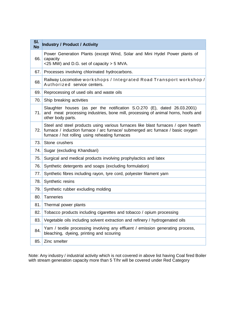| SI.<br><b>No</b> | <b>Industry / Product / Activity</b>                                                                                                                                                                                   |
|------------------|------------------------------------------------------------------------------------------------------------------------------------------------------------------------------------------------------------------------|
| 66.              | Power Generation Plants (except Wind, Solar and Mini Hydel Power plants of<br>capacity                                                                                                                                 |
|                  | <25 MW) and D.G. set of capacity > 5 MVA.                                                                                                                                                                              |
| 67.              | Processes involving chlorinated hydrocarbons.                                                                                                                                                                          |
| 68.              | Railway Locomotive workshops / Integrated Road Transport workshop /<br>Authorized service centers.                                                                                                                     |
| 69.              | Reprocessing of used oils and waste oils                                                                                                                                                                               |
| 70.              | Ship breaking activities                                                                                                                                                                                               |
| 71.              | Slaughter houses (as per the notification S.O.270 (E), dated 26.03.2001)<br>and meat processing industries, bone mill, processing of animal horns, hoofs and<br>other body parts.                                      |
| 72.              | Steel and steel products using various furnaces like blast furnaces / open hearth<br>furnace / induction furnace / arc furnace/ submerged arc furnace / basic oxygen<br>furnace / hot rolling using reheating furnaces |
| 73.              | Stone crushers                                                                                                                                                                                                         |
| 74.              | Sugar (excluding Khandsari)                                                                                                                                                                                            |
| 75.              | Surgical and medical products involving prophylactics and latex                                                                                                                                                        |
| 76.              | Synthetic detergents and soaps (excluding formulation)                                                                                                                                                                 |
| 77.              | Synthetic fibres including rayon, tyre cord, polyester filament yarn                                                                                                                                                   |
| 78.              | Synthetic resins                                                                                                                                                                                                       |
| 79.              | Synthetic rubber excluding molding                                                                                                                                                                                     |
| 80.              | <b>Tanneries</b>                                                                                                                                                                                                       |
| 81.              | Thermal power plants                                                                                                                                                                                                   |
| 82.              | Tobacco products including cigarettes and tobacco / opium processing                                                                                                                                                   |
| 83.              | Vegetable oils including solvent extraction and refinery / hydrogenated oils                                                                                                                                           |
| 84.              | Yarn / textile processing involving any effluent / emission generating process,<br>bleaching, dyeing, printing and scouring                                                                                            |
| 85.              | Zinc smelter                                                                                                                                                                                                           |

Note: Any industry / industrial activity which is not covered in above list having Coal fired Boiler with stream generation capacity more than 5 T/hr will be covered under Red Category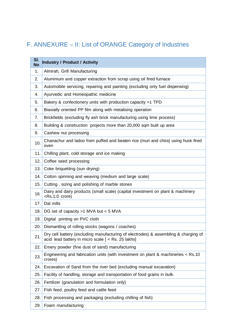# F. ANNEXURE – II: List of ORANGE Category of Industries

| SI.<br><b>No</b> | <b>Industry / Product / Activity</b>                                                                                                      |
|------------------|-------------------------------------------------------------------------------------------------------------------------------------------|
| 1.               | Almirah, Grill Manufacturing                                                                                                              |
| 2.               | Aluminium and copper extraction from scrap using oil fired furnace                                                                        |
| 3.               | Automobile servicing, repairing and painting (excluding only fuel dispensing)                                                             |
| 4.               | Ayurvedic and Homeopathic medicine                                                                                                        |
| 5.               | Bakery & confectionery units with production capacity >1 TPD                                                                              |
| 6.               | Biaxially oriented PP film along with metalising operation                                                                                |
| 7.               | Brickfields (excluding fly ash brick manufacturing using lime process)                                                                    |
| 8.               | Building & construction projects more than 20,000 sqm built up area                                                                       |
| 9.               | Cashew nut processing                                                                                                                     |
| 10.              | Chanachur and ladoo from puffed and beaten rice (muri and chira) using husk fired<br>oven                                                 |
| 11.              | Chilling plant, cold storage and ice making                                                                                               |
| 12.              | Coffee seed processing                                                                                                                    |
| 13.              | Coke briquetting (sun drying)                                                                                                             |
| 14.              | Cotton spinning and weaving (medium and large scale)                                                                                      |
| 15.              | Cutting, sizing and polishing of marble stones                                                                                            |
| 16.              | Dairy and dairy products (small scale) (capital investment on plant & machinery<br><rs.1.0 crore)<="" td=""></rs.1.0>                     |
| 17.              | Dal mills                                                                                                                                 |
| 18.              | DG set of capacity >1 MVA but < 5 MVA                                                                                                     |
| 19.              | Digital printing on PVC cloth                                                                                                             |
| 20.              | Dismantling of rolling stocks (wagons / coaches)                                                                                          |
| 21.              | Dry cell battery (excluding manufacturing of electrodes) & assembling & charging of<br>acid lead battery in micro scale [ < Rs. 25 lakhs] |
| 22.              | Emery powder (fine dust of sand) manufacturing                                                                                            |
| 23.              | Engineering and fabrication units (with investment on plant & machineries < Rs.10<br>crores)                                              |
| 24.              | Excavation of Sand from the river bed (excluding manual excavation)                                                                       |
| 25.              | Facility of handling, storage and transportation of food grains in bulk.                                                                  |
| 26.              | Fertilizer (granulation and formulation only)                                                                                             |
| 27.              | Fish feed, poultry feed and cattle feed                                                                                                   |
| 28.              | Fish processing and packaging (excluding chilling of fish)                                                                                |
| 29.              | Foam manufacturing                                                                                                                        |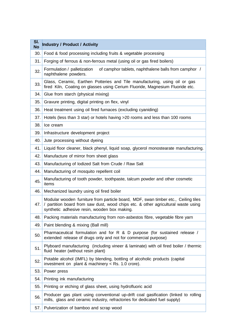| SI.<br><b>No</b> | <b>Industry / Product / Activity</b>                                                                                                                                                                                    |
|------------------|-------------------------------------------------------------------------------------------------------------------------------------------------------------------------------------------------------------------------|
| 30.              | Food & food processing including fruits & vegetable processing                                                                                                                                                          |
| 31.              | Forging of ferrous & non-ferrous metal (using oil or gas fired boilers)                                                                                                                                                 |
| 32.              | Formulation / palletization<br>of camphor tablets, naphthalene balls from camphor /<br>naphthalene powders.                                                                                                             |
| 33.              | Glass, Ceramic, Earthen Potteries and Tile manufacturing, using oil or gas<br>fired Kiln, Coating on glasses using Cerium Fluoride, Magnesium Fluoride etc.                                                             |
| 34.              | Glue from starch (physical mixing)                                                                                                                                                                                      |
| 35.              | Gravure printing, digital printing on flex, vinyl                                                                                                                                                                       |
| 36.              | Heat treatment using oil fired furnaces (excluding cyaniding)                                                                                                                                                           |
| 37.              | Hotels (less than 3 star) or hotels having $>20$ rooms and less than 100 rooms                                                                                                                                          |
| 38.              | Ice cream                                                                                                                                                                                                               |
| 39.              | Infrastructure development project                                                                                                                                                                                      |
| 40.              | Jute processing without dyeing                                                                                                                                                                                          |
| 41.              | Liquid floor cleaner, black phenyl, liquid soap, glycerol monostearate manufacturing.                                                                                                                                   |
| 42.              | Manufacture of mirror from sheet glass                                                                                                                                                                                  |
| 43.              | Manufacturing of lodized Salt from Crude / Raw Salt                                                                                                                                                                     |
| 44.              | Manufacturing of mosquito repellent coil                                                                                                                                                                                |
| 45.              | Manufacturing of tooth powder, toothpaste, talcum powder and other cosmetic<br>items                                                                                                                                    |
| 46.              | Mechanized laundry using oil fired boiler                                                                                                                                                                               |
| 47.              | Modular wooden furniture from particle board, MDF, swan timber etc., Ceiling tiles<br>/ partition board from saw dust, wood chips etc. & other agricultural waste using<br>synthetic adhesive resin, wooden box making. |
| 48.              | Packing materials manufacturing from non-asbestos fibre, vegetable fibre yarn                                                                                                                                           |
| 49.              | Paint blending & mixing (Ball mill)                                                                                                                                                                                     |
| 50.              | Pharmaceutical formulation and for R & D purpose (for sustained release /<br>extended release of drugs only and not for commercial purpose)                                                                             |
| 51.              | Plyboard manufacturing (including vineer & laminate) with oil fired boiler / thermic<br>fluid heater (without resin plant)                                                                                              |
| 52.              | Potable alcohol (IMFL) by blending, bottling of alcoholic products (capital<br>investment on plant & machinery < Rs. 1.0 crore).                                                                                        |
| 53.              | Power press                                                                                                                                                                                                             |
| 54.              | Printing ink manufacturing                                                                                                                                                                                              |
| 55.              | Printing or etching of glass sheet, using hydrofluoric acid                                                                                                                                                             |
| 56.              | Producer gas plant using conventional up-drift coal gasification (linked to rolling<br>mills, glass and ceramic industry, refractories for dedicated fuel supply)                                                       |
| 57.              | Pulverization of bamboo and scrap wood                                                                                                                                                                                  |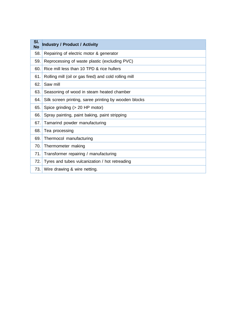| SI.<br><b>No</b> | <b>Industry / Product / Activity</b>                  |
|------------------|-------------------------------------------------------|
| 58.              | Repairing of electric motor & generator               |
| 59.              | Reprocessing of waste plastic (excluding PVC)         |
| 60.              | Rice mill less than 10 TPD & rice hullers             |
| 61.              | Rolling mill (oil or gas fired) and cold rolling mill |
| 62.              | Saw mill                                              |
| 63.              | Seasoning of wood in steam heated chamber             |
| 64.              | Silk screen printing, saree printing by wooden blocks |
| 65.              | Spice grinding (> 20 HP motor)                        |
| 66.              | Spray painting, paint baking, paint stripping         |
| 67.              | Tamarind powder manufacturing                         |
| 68.              | Tea processing                                        |
| 69.              | Thermocol manufacturing                               |
| 70.              | Thermometer making                                    |
| 71.              | Transformer repairing / manufacturing                 |
| 72.              | Tyres and tubes vulcanization / hot retreading        |
| 73.              | Wire drawing & wire netting.                          |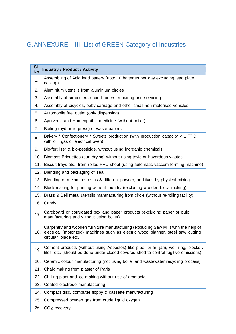# G.ANNEXURE – III: List of GREEN Category of Industries

| SI.<br><b>No</b> | <b>Industry / Product / Activity</b>                                                                                                                                                          |
|------------------|-----------------------------------------------------------------------------------------------------------------------------------------------------------------------------------------------|
| 1.               | Assembling of Acid lead battery (upto 10 batteries per day excluding lead plate<br>casting)                                                                                                   |
| 2.               | Aluminium utensils from aluminium circles                                                                                                                                                     |
| 3.               | Assembly of air coolers / conditioners, repairing and servicing                                                                                                                               |
| 4.               | Assembly of bicycles, baby carriage and other small non-motorised vehicles                                                                                                                    |
| 5.               | Automobile fuel outlet (only dispensing)                                                                                                                                                      |
| 6.               | Ayurvedic and Homeopathic medicine (without boiler)                                                                                                                                           |
| 7.               | Bailing (hydraulic press) of waste papers                                                                                                                                                     |
| 8.               | Bakery / Confectionery / Sweets production (with production capacity $<$ 1 TPD<br>with oil, gas or electrical oven)                                                                           |
| 9.               | Bio-fertiliser & bio-pesticide, without using inorganic chemicals                                                                                                                             |
| 10.              | Biomass Briquettes (sun drying) without using toxic or hazardous wastes                                                                                                                       |
| 11.              | Biscuit trays etc., from rolled PVC sheet (using automatic vaccum forming machine)                                                                                                            |
| 12.              | Blending and packaging of Tea                                                                                                                                                                 |
| 13.              | Blending of melamine resins & different powder, additives by physical mixing                                                                                                                  |
| 14.              | Block making for printing without foundry (excluding wooden block making)                                                                                                                     |
| 15.              | Brass & Bell metal utensils manufacturing from circle (without re-rolling facility)                                                                                                           |
| 16.              | Candy                                                                                                                                                                                         |
| 17.              | Cardboard or corrugated box and paper products (excluding paper or pulp<br>manufacturing and without using boiler)                                                                            |
| 18.              | Carpentry and wooden furniture manufacturing (excluding Saw Mill) with the help of<br>electrical (motorized) machines such as electric wood planner, steel saw cutting<br>circular blade etc. |
| 19.              | Cement products (without using Asbestos) like pipe, pillar, jafri, well ring, blocks /<br>tiles etc. (should be done under closed covered shed to control fugitive emissions)                 |
| 20.              | Ceramic colour manufacturing (not using boiler and wastewater recycling process)                                                                                                              |
| 21.              | Chalk making from plaster of Paris                                                                                                                                                            |
| 22.              | Chilling plant and ice making without use of ammonia                                                                                                                                          |
| 23.              | Coated electrode manufacturing                                                                                                                                                                |
| 24.              | Compact disc, computer floppy & cassette manufacturing                                                                                                                                        |
| 25.              | Compressed oxygen gas from crude liquid oxygen                                                                                                                                                |
| 26.              | CO <sub>2</sub> recovery                                                                                                                                                                      |
|                  |                                                                                                                                                                                               |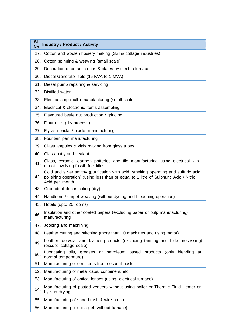| SI.<br><b>No</b> | <b>Industry / Product / Activity</b>                                                                                                                                                           |
|------------------|------------------------------------------------------------------------------------------------------------------------------------------------------------------------------------------------|
| 27.              | Cotton and woolen hosiery making (SSI & cottage industries)                                                                                                                                    |
| 28.              | Cotton spinning & weaving (small scale)                                                                                                                                                        |
| 29.              | Decoration of ceramic cups & plates by electric furnace                                                                                                                                        |
| 30.              | Diesel Generator sets (15 KVA to 1 MVA)                                                                                                                                                        |
| 31.              | Diesel pump repairing & servicing                                                                                                                                                              |
| 32.              | Distilled water                                                                                                                                                                                |
| 33.              | Electric lamp (bulb) manufacturing (small scale)                                                                                                                                               |
| 34.              | Electrical & electronic items assembling                                                                                                                                                       |
| 35.              | Flavoured bettle nut production / grinding                                                                                                                                                     |
| 36.              | Flour mills (dry process)                                                                                                                                                                      |
| 37.              | Fly ash bricks / blocks manufacturing                                                                                                                                                          |
| 38.              | Fountain pen manufacturing                                                                                                                                                                     |
| 39.              | Glass ampules & vials making from glass tubes                                                                                                                                                  |
| 40.              | Glass putty and sealant                                                                                                                                                                        |
| 41.              | Glass, ceramic, earthen potteries and tile manufacturing using electrical kiln<br>or not involving fossil fuel kilns                                                                           |
| 42.              | Gold and silver smithy (purification with acid, smelting operating and sulfuric acid<br>polishing operation) (using less than or equal to 1 litre of Sulphuric Acid / Nitric<br>Acid per month |
| 43.              | Groundnut decorticating (dry)                                                                                                                                                                  |
| 44.              | Handloom / carpet weaving (without dyeing and bleaching operation)                                                                                                                             |
| 45.              | Hotels (upto 20 rooms)                                                                                                                                                                         |
| 46.              | Insulation and other coated papers (excluding paper or pulp manufacturing)<br>manufacturing                                                                                                    |
| 47.              | Jobbing and machining                                                                                                                                                                          |
| 48.              | Leather cutting and stitching (more than 10 machines and using motor)                                                                                                                          |
| 49.              | Leather footwear and leather products (excluding tanning and hide processing)<br>(except cottage scale).                                                                                       |
| 50.              | Lubricating oils, greases or petroleum based products (only<br>blending at<br>normal temperature)                                                                                              |
| 51.              | Manufacturing of coir items from coconut husk                                                                                                                                                  |
| 52.              | Manufacturing of metal caps, containers, etc.                                                                                                                                                  |
| 53.              | Manufacturing of optical lenses (using electrical furnace)                                                                                                                                     |
| 54.              | Manufacturing of pasted veneers without using boiler or Thermic Fluid Heater or<br>by sun drying                                                                                               |
| 55.              | Manufacturing of shoe brush & wire brush                                                                                                                                                       |
| 56.              | Manufacturing of silica gel (without furnace)                                                                                                                                                  |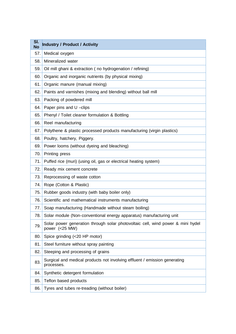| SI.<br><b>No</b> | <b>Industry / Product / Activity</b>                                                              |  |  |  |
|------------------|---------------------------------------------------------------------------------------------------|--|--|--|
| 57.              | Medical oxygen                                                                                    |  |  |  |
| 58.              | Mineralized water                                                                                 |  |  |  |
| 59.              | Oil mill ghani & extraction (no hydrogenation / refining)                                         |  |  |  |
| 60.              | Organic and inorganic nutrients (by physical mixing)                                              |  |  |  |
| 61.              | Organic manure (manual mixing)                                                                    |  |  |  |
| 62.              | Paints and varnishes (mixing and blending) without ball mill                                      |  |  |  |
| 63.              | Packing of powdered mill                                                                          |  |  |  |
| 64.              | Paper pins and U-clips                                                                            |  |  |  |
| 65.              | Phenyl / Toilet cleaner formulation & Bottling                                                    |  |  |  |
| 66.              | Reel manufacturing                                                                                |  |  |  |
| 67.              | Polythene & plastic processed products manufacturing (virgin plastics)                            |  |  |  |
| 68.              | Poultry, hatchery, Piggery.                                                                       |  |  |  |
| 69.              | Power looms (without dyeing and bleaching)                                                        |  |  |  |
| 70.              | Printing press                                                                                    |  |  |  |
| 71.              | Puffed rice (muri) (using oil, gas or electrical heating system)                                  |  |  |  |
| 72.              | Ready mix cement concrete                                                                         |  |  |  |
| 73.              | Reprocessing of waste cotton                                                                      |  |  |  |
| 74.              | Rope (Cotton & Plastic)                                                                           |  |  |  |
| 75.              | Rubber goods industry (with baby boiler only)                                                     |  |  |  |
| 76.              | Scientific and mathematical instruments manufacturing                                             |  |  |  |
| 77.              | Soap manufacturing (Handmade without steam boiling)                                               |  |  |  |
| 78.              | Solar module (Non-conventional energy apparatus) manufacturing unit                               |  |  |  |
| 79.              | Solar power generation through solar photovoltaic cell, wind power & mini hydel<br>power (<25 MW) |  |  |  |
| 80.              | Spice grinding (<20 HP motor)                                                                     |  |  |  |
| 81.              | Steel furniture without spray painting                                                            |  |  |  |
| 82.              | Steeping and processing of grains                                                                 |  |  |  |
| 83.              | Surgical and medical products not involving effluent / emission generating<br>processes.          |  |  |  |
| 84.              | Synthetic detergent formulation                                                                   |  |  |  |
| 85.              | Teflon based products                                                                             |  |  |  |
| 86.              | Tyres and tubes re-treading (without boiler)                                                      |  |  |  |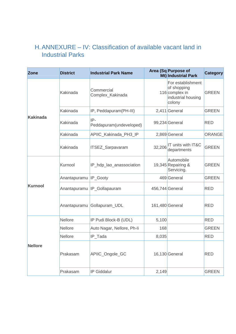## H.ANNEXURE – IV: Classification of available vacant land in Industrial Parks

| <b>Zone</b>     | <b>District</b>       | <b>Industrial Park Name</b>      |        | Area (Sq Purpose of<br>Mt) Industrial Park                                         | Category      |
|-----------------|-----------------------|----------------------------------|--------|------------------------------------------------------------------------------------|---------------|
|                 | Kakinada              | Commercial<br>Complex_Kakinada   |        | For establishment<br>of shopping<br>116 complex in<br>industrial housing<br>colony | <b>GREEN</b>  |
|                 | Kakinada              | IP, Peddapuram(PH-III)           |        | 2,411 General                                                                      | <b>GREEN</b>  |
| <b>Kakinada</b> | Kakinada              | $IP-$<br>Peddapuram(undeveloped) |        | 99,234 General                                                                     | <b>RED</b>    |
|                 | Kakinada              | APIIC_Kakinada_PH3_IP            |        | 2,869 General                                                                      | <b>ORANGE</b> |
|                 | Kakinada              | ITSEZ_Sarpavaram                 | 32,206 | IT units with IT&C<br>departments                                                  | <b>GREEN</b>  |
|                 | Kurnool               | IP_hdp_lao_anassociation         |        | Automobile<br>19,345 Repairing &<br>Servicing.                                     | <b>GREEN</b>  |
|                 | Anantapuramu IP_Gooty |                                  |        | 469 General                                                                        | <b>GREEN</b>  |
| <b>Kurnool</b>  |                       | Anantapuramu IP_Gollapauram      |        | 456,744 General                                                                    | <b>RED</b>    |
|                 |                       | Anantapuramu Gollapuram_UDL      |        | 161,480 General                                                                    | <b>RED</b>    |
|                 | <b>Nellore</b>        | IP Pudi Block-B (UDL)            | 5,100  |                                                                                    | <b>RED</b>    |
|                 | <b>Nellore</b>        | Auto Nagar, Nellore, Ph-li       | 168    |                                                                                    | <b>GREEN</b>  |
|                 | <b>Nellore</b>        | IP_Tada                          | 8,035  |                                                                                    | <b>RED</b>    |
| <b>Nellore</b>  | Prakasam              | APIIC_Ongole_GC                  |        | $16,130$ General                                                                   | <b>RED</b>    |
|                 | Prakasam              | <b>IP Giddalur</b>               | 2,149  |                                                                                    | <b>GREEN</b>  |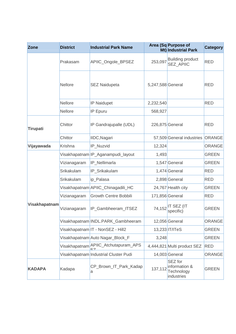| <b>Zone</b>     | <b>District</b> | <b>Industrial Park Name</b>           |                   | Area (Sq Purpose of<br>Mt) Industrial Park           | <b>Category</b> |
|-----------------|-----------------|---------------------------------------|-------------------|------------------------------------------------------|-----------------|
|                 | Prakasam        | APIIC_Ongole_BPSEZ                    | 253,097           | <b>Building product</b><br><b>SEZ APIIC</b>          | <b>RED</b>      |
|                 | <b>Nellore</b>  | <b>SEZ Naidupeta</b>                  | 5,247,588 General |                                                      | <b>RED</b>      |
|                 | <b>Nellore</b>  | <b>IP Naidupet</b>                    | 2,232,540         |                                                      | <b>RED</b>      |
|                 | <b>Nellore</b>  | <b>IP Epuru</b>                       | 568,927           |                                                      |                 |
| <b>Tirupati</b> | Chittor         | IP Gandrajupalle (UDL)                | 226,875 General   |                                                      | <b>RED</b>      |
|                 | Chittor         | IIDC, Nagari                          |                   | 57,509 General industries                            | <b>ORANGE</b>   |
| Vijayawada      | Krishna         | IP_Nuzvid                             | 12,324            |                                                      | <b>ORANGE</b>   |
|                 |                 | Visakhapatnam IP_Aganampudi_layout    | 1,493             |                                                      | <b>GREEN</b>    |
|                 | Vizianagaram    | IP_Nellimarla                         |                   | 1,547 General                                        | <b>GREEN</b>    |
|                 | Srikakulam      | IP_Srikakulam                         |                   | 1,474 General                                        | <b>RED</b>      |
|                 | Srikakulam      | ip_Palasa                             |                   | 2,898 General                                        | <b>RED</b>      |
|                 |                 | Visakhapatnam APIIC_Chinagadili_HC    |                   | 24,767 Health city                                   | <b>GREEN</b>    |
|                 | Vizianagaram    | <b>Growth Centre Bobbili</b>          | 171,856 General   |                                                      | <b>RED</b>      |
| Visakhapatnam   | Vizianagaram    | IP_Gambheeram_ITSEZ                   | 74,152            | IT SEZ (IT<br>specific)                              | <b>GREEN</b>    |
|                 |                 | Visakhapatnam INDL.PARK_Gambheeram    |                   | 12,056 General                                       | <b>ORANGE</b>   |
|                 |                 | Visakhapatnam IT - NonSEZ - Hill2     |                   | 13,233 IT/ITeS                                       | <b>GREEN</b>    |
|                 |                 | Visakhapatnam Auto Nagar_Block_F      | 3,248             |                                                      | <b>GREEN</b>    |
|                 |                 | Visakhapatnam APIIC_Atchutapuram_APS  |                   | 4,444,821 Multi product SEZ                          | <b>RED</b>      |
|                 |                 | Visakhapatnam Industrial Cluster Pudi |                   | 14,003 General                                       | <b>ORANGE</b>   |
| <b>KADAPA</b>   | Kadapa          | CP_Brown_IT_Park_Kadap<br>а           | 137,112           | SEZ for<br>information &<br>Technology<br>industries | <b>GREEN</b>    |